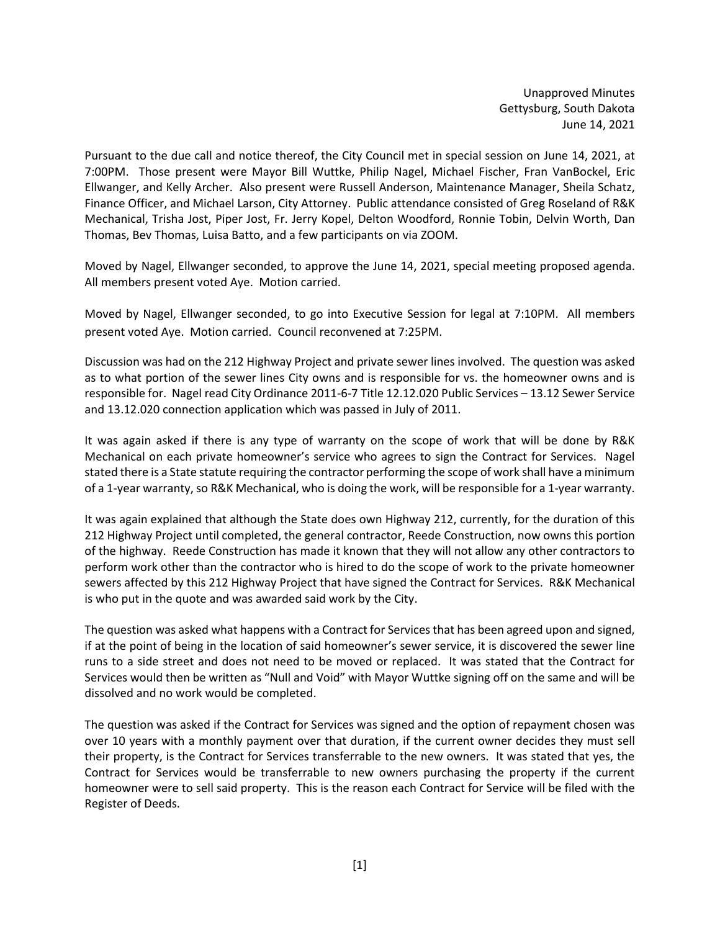Unapproved Minutes Gettysburg, South Dakota June 14, 2021

Pursuant to the due call and notice thereof, the City Council met in special session on June 14, 2021, at 7:00PM. Those present were Mayor Bill Wuttke, Philip Nagel, Michael Fischer, Fran VanBockel, Eric Ellwanger, and Kelly Archer. Also present were Russell Anderson, Maintenance Manager, Sheila Schatz, Finance Officer, and Michael Larson, City Attorney. Public attendance consisted of Greg Roseland of R&K Mechanical, Trisha Jost, Piper Jost, Fr. Jerry Kopel, Delton Woodford, Ronnie Tobin, Delvin Worth, Dan Thomas, Bev Thomas, Luisa Batto, and a few participants on via ZOOM.

Moved by Nagel, Ellwanger seconded, to approve the June 14, 2021, special meeting proposed agenda. All members present voted Aye. Motion carried.

Moved by Nagel, Ellwanger seconded, to go into Executive Session for legal at 7:10PM. All members present voted Aye. Motion carried. Council reconvened at 7:25PM.

Discussion was had on the 212 Highway Project and private sewer lines involved. The question was asked as to what portion of the sewer lines City owns and is responsible for vs. the homeowner owns and is responsible for. Nagel read City Ordinance 2011-6-7 Title 12.12.020 Public Services – 13.12 Sewer Service and 13.12.020 connection application which was passed in July of 2011.

It was again asked if there is any type of warranty on the scope of work that will be done by R&K Mechanical on each private homeowner's service who agrees to sign the Contract for Services. Nagel stated there is a State statute requiring the contractor performing the scope of work shall have a minimum of a 1-year warranty, so R&K Mechanical, who is doing the work, will be responsible for a 1-year warranty.

It was again explained that although the State does own Highway 212, currently, for the duration of this 212 Highway Project until completed, the general contractor, Reede Construction, now owns this portion of the highway. Reede Construction has made it known that they will not allow any other contractors to perform work other than the contractor who is hired to do the scope of work to the private homeowner sewers affected by this 212 Highway Project that have signed the Contract for Services. R&K Mechanical is who put in the quote and was awarded said work by the City.

The question was asked what happens with a Contract for Services that has been agreed upon and signed, if at the point of being in the location of said homeowner's sewer service, it is discovered the sewer line runs to a side street and does not need to be moved or replaced. It was stated that the Contract for Services would then be written as "Null and Void" with Mayor Wuttke signing off on the same and will be dissolved and no work would be completed.

The question was asked if the Contract for Services was signed and the option of repayment chosen was over 10 years with a monthly payment over that duration, if the current owner decides they must sell their property, is the Contract for Services transferrable to the new owners. It was stated that yes, the Contract for Services would be transferrable to new owners purchasing the property if the current homeowner were to sell said property. This is the reason each Contract for Service will be filed with the Register of Deeds.